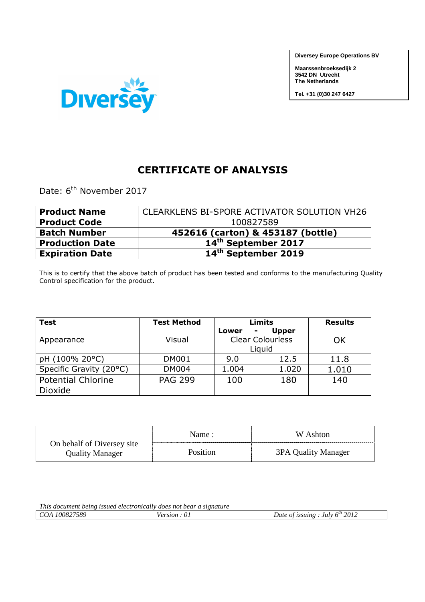**Diversey Europe Operations BV**

**Maarssenbroeksedijk 2 3542 DN Utrecht The Netherlands** 

**Tel. +31 (0)30 247 6427**



## **CERTIFICATE OF ANALYSIS**

Date: 6<sup>th</sup> November 2017

| <b>Product Name</b>    | CLEARKLENS BI-SPORE ACTIVATOR SOLUTION VH26 |
|------------------------|---------------------------------------------|
| <b>Product Code</b>    | 100827589                                   |
| <b>Batch Number</b>    | 452616 (carton) & 453187 (bottle)           |
| <b>Production Date</b> | 14 <sup>th</sup> September 2017             |
| <b>Expiration Date</b> | 14 <sup>th</sup> September 2019             |

This is to certify that the above batch of product has been tested and conforms to the manufacturing Quality Control specification for the product.

| <b>Test</b>               | <b>Test Method</b> |            | Limits                  | <b>Results</b> |
|---------------------------|--------------------|------------|-------------------------|----------------|
|                           |                    | Lower<br>۰ | <b>Upper</b>            |                |
| Appearance                | Visual             |            | <b>Clear Colourless</b> | OK             |
|                           |                    |            | Liguid                  |                |
| pH (100% 20°C)            | <b>DM001</b>       | 9.0        | 12.5                    | 11.8           |
| Specific Gravity (20°C)   | <b>DM004</b>       | 1.004      | 1.020                   | 1.010          |
| <b>Potential Chlorine</b> | <b>PAG 299</b>     | 100        | 180                     | 140            |
| Dioxide                   |                    |            |                         |                |

|                                                      | Name :   | W Ashton            |
|------------------------------------------------------|----------|---------------------|
| On behalf of Diversey site<br><b>Quality Manager</b> | Position | 3PA Quality Manager |

| <i>This</i><br>s document being issued electronically (<br>v does not bear a sıgnature |              |                                                         |  |
|----------------------------------------------------------------------------------------|--------------|---------------------------------------------------------|--|
| 100827589<br>COA                                                                       | ersion<br>U. | $\epsilon$<br>2012<br>Julv<br>issuing<br>Date of<br>∕n″ |  |